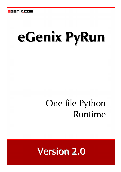# eGenix PyRun

## One file Python Runtime

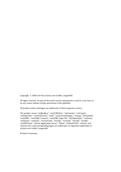Copyright © 2008-2014 by eGenix.com GmbH, Langenfeld

All rights reserved. No part of this work may be reproduced or used in a any form or by any means without written permission of the publisher.

All product names and logos are trademarks of their respective owners.

The product names "mxBeeBase", "mxCGIPython", "mxCounter", "mxCrypto", "mxDateTime", "mxHTMLTools", "mxIP", "mxLicenseManager", "mxLog", "mxNumber", "mxODBC", "mxODBC Connect", "mxODBC Zope DA", "mxObjectStore", "mxProxy", "mxQueue", "mxStack", "mxTextTools", "mxTidy", "mxTools", "mxUID", "mxURL", "mxXMLTools", "eGenix Application Server", "PyRun", "PythonHTML", "eGenix" and "eGenix.com" and corresponding logos are trademarks or registered trademarks of eGenix.com GmbH, Langenfeld

Printed in Germany.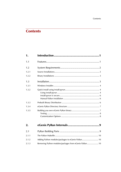## **Contents**

| 1.    |  |
|-------|--|
| 1.1   |  |
| 1.2   |  |
| 1.2.1 |  |
| 1.2.2 |  |
| 1.3   |  |
| 1.3.1 |  |
| 1.3.2 |  |
| 1.3.3 |  |
| 1.3.4 |  |
| 1.3.5 |  |

| 2.    |  |
|-------|--|
| 2.1   |  |
| 2.1.1 |  |
| 2.1.2 |  |
| 2.1.3 |  |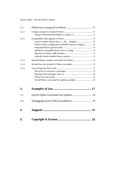| 2.2   |                                                                                                                |
|-------|----------------------------------------------------------------------------------------------------------------|
| 2.2.1 |                                                                                                                |
| 2.2.2 | Frozen modules always have a file attribute  12<br>Python system configuration included in pyrun config.py  12 |
| 2.2.3 | Standard library modules not linked into PyRun 14                                                              |
| 2.2.4 |                                                                                                                |
| 2.2.5 | Not all Python command line options available  16                                                              |
| 3.    |                                                                                                                |
| 3.1   | eGenix PyRun Command Line Options  18                                                                          |
| 3.2   | Debugging eGenix PyRun Installations 18                                                                        |
| 4.    |                                                                                                                |

5. Copyright & License [...........................................](#page-25-0) 22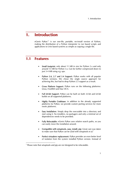## <span id="page-4-0"></span>1. Introduction

eGenix PyRun<sup>™</sup> is our one-file, portable, no-install version of Python, making the distribution of a Python interpreter to run based scripts and applications to Unix based systems as simple as copying a single file.

### 1.1 Features

- **Small footprint:** only about 11 MB in size for Python 2.x and only around 13 MB for Python 3.x. Can be further compressed down to just 3-4 MB using e.g. upx.
- Python 2.6, 2.7 and 3.4 Support: PyRun works with all popular Python versions. We chose the single source approach for achieving this, but had to drop Python 2.5 support as a result.
- Cross Platform Support: PyRun runs on the following platforms: Linux, FreeBSD and Mac OS X.
- Full 64-bit Support: PyRun can be built on both 32-bit and 64-bit builds on all supported platforms.
- Highly Portable Codebase: in addition to the already supported platforms for PyRun, we provide custom porting services for more exotic platforms.
- Easy Installation: Simply drop the executable into a directory and start using it. No installers, no packagers and only a minimal set of dependencies needs to be provided.
- Fully Relocatable: eGenix PyRun uses relative search paths, so you can easily move the installation around.
- Compatible with setuptools, easy install, pip: Great care was taken to make sure that PyRun can be used with setuptools et al.<sup>[1](#page-4-1)</sup>
- Perfect virtualenv replacement: PyRun provides an even better level of isolation from the system installed Python version. Instead of

<span id="page-4-1"></span><sup>|&</sup>lt;br>1 <sup>1</sup> Please note that setuptools and pip are *not* designed to be relocatable.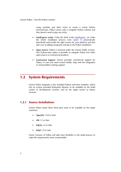<span id="page-5-0"></span>using symlinks and other tricks to create a virtual Python environments, PyRun comes with a complete Python runtime and thus doesn't need to play any tricks.

- install-pyrun script: Using the bash script *[install-pyrun](https://downloads.egenix.com/python/install-pyrun)*, we make the whole installation process even easier. It automatically downloads and installs the right version for your platform and also take care of adding setuptools and pip to the PyRun installation.
- Open Source: PyRun is licensed under the eGenix Public License. This Python-style makes it possible to integrate PyRun into other open-source or commercial products
- Commerical Support: eGenix provides commercial support for PyRun, in case you need custom builds, help with the integration or need problem solving support.

## 1.2 System Requirements

eGenix PyRun integrates a few standard Python extension modules, which rely on system provided third-party libraries to be available on the build system as development versions, and on the target system as binary versions.

#### 1.2.1 Source Installations

eGenix PyRun needs these third party tools to be available on the target machines:

- OpenSSL 1.0.0 or later
- zlib 1.2 or later
- SQLite 3.4 or later
- **bzip2** 1.0 or later

Future versions of PyRun will add more flexibility to the build process to make the requirements more customizable.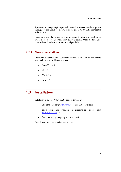<span id="page-6-0"></span>If you want to compile PyRun yourself, you will also need the development packages of the above tools, a C compiler and a GNU make compatible make installed.

Please note that the binary versions of these libraries also need to be available on the PyRun installation target systems. Most modern Unix systems have the above libraries installed per default.

#### 1.2.2 Binary Installations

The readily built version of eGenix PyRun we make available on our website were built using these library versions:

- OpenSSL 1.0.1
- $\bullet$  zlib 1.2
- SQLite 3.4
- bzip2 1.0

## 1.3 Installation

Installation of eGenix PyRun can be done in three ways:

- using the bash script *[install-pyrun](https://downloads.egenix.com/python/install-pyrun)* for automatic installation
- downloading and installing a precompiled binary from *[www.egenix.com](http://www.egenix.com/)*, or
- from sources by compiling your own version.

The following sections explain these options.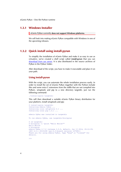#### <span id="page-7-0"></span>1.3.1 Windows Installer

eGenix PyRun currently does not support Windows platforms.

We will look into making eGenix PyRun compatible with Windows in one of the upcoming releases.

#### 1.3.2 Quick install using install-pyrun

To simplify the installation of eGenix PyRun and make it as easy to use as *virtualenv*, we've created a shell script called install-pyrun that you can *[download from our server](http://downloads.egenix.com/python/install-pyrun)*. It is also distributed in the source archives of PyRun in the PyRun/ folder.

After download of the script, you have to make it executable and place it on your path.

#### Using install-pyrun

With the script, you can automate the whole installation process easily. In order to install the set of eGenix PyRun (together with the Python include files and some extra C extensions from the stdlib that are not compiled into PyRun), setuptools and pip to a new directory targetdir, just run the following command:

./install-pyrun targetdir

This will then download a suitable eGenix PyRun binary distribution for your platform, install setuptools and pip:

```
$ install-pyrun targetdir 
Installing eGenix PyRun .
Installing local setuptools 2.1 ... 
Installing local pip 1.4.1 ... 
eGenix PyRun was installed in targetdir 
To run eGenix PyRun, use targetdir/bin/pyrun 
$ cd targetdir
$ bin/pyrun -c 'print "Hello World!"' 
Hello World! 
$ bin/pyrun 
eGenix PyRun 2.7.6 (release 2.0.0, default, Jun 13 2014, 20:12:35) 
[GCC 4.5.1 20101208 [gcc-4_5-branch revision 167585]]
Thank you for using eGenix PyRun. Type "help" or "license" for 
details.
```
>>>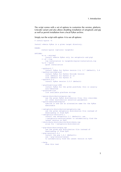The script comes with a set of options to customize the version, platform, Unicode variant and also allows disabling installation of setuptools and pip as well as permit installation from a local PyRun archive.

Simply run the script with option -h to see all options:

```
$ install-pyrun -h 
Install eGenix PyRun in a given target directory. 
USAGE: 
        install-pyrun [options] targetdir 
OPTIONS: 
        -m or --minimal 
            install eGenix PyRun only (no setuptools and pip) 
        -l of --log 
            log installation to targetdir/pyrun-installation.log 
        -q or --quiet 
            quiet installation 
        --python=2.7 
            install PyRun for Python version 2.6, 2.7 (default), 3.4 
        --python-unicode=ucs2 
            install PyRun for Python Unicode version 
            ucs2 (default for Python 2) or 
           uss_4 (default for Python 3)
        --pyrun=2.0.0 
            install PyRun version 2.0.0 (default) 
        --platform=linux-i686 
            install PyRun for the given platform; this is usually 
            auto-detected 
        --platform-list 
            list available platform strings 
        --pyrun-distribution=pyrun.tgz 
           use the given PyRun distribution file; this overrides
            all other distribution selection parameters 
        --pyrun-executable=pyrun 
            symlink to and use an alternative name for the PyRun 
            executable 
        --setuptools-distribution=setuptools.tgz 
            use the given setuptools distribution file instead of 
            downloading it from PyPI 
        --setuptools-version=2.1 
           install the setuptools 2.1 (default); use
             --setuptools-version=latest to automatically find the 
            latest version on PyPI 
        --distribute-distribution=distribute.tgz 
            alias for --setuptools-distribution 
        --pip-distribution=pip.tgz 
            use the given pip distribution file instead of 
            downloading it from PyPI 
        --pip-version=1.4.1 
            install the pip 1.4.1 (default); 
            use --pip-version=latest 
            to automatically find the latest version on PyPI 
        --help 
            show this text
```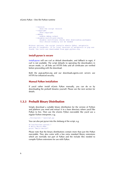```
 --version 
           show the script version 
        --copyright 
            show copyright 
        --debug 
            enable debug output 
        --disable-certificate-checks 
            disable certificate checks when downloading packages; 
            this should normally not be needed 
Without options, the script installs eGenix PyRun, setuptools 
and pip in targetdir. If no local versions of setuptools or pip are 
found, the tools are downloaded from pypi.python.org.
```
#### install-pyrun is secure

install-pyrun will use curl as default downloader, and fallback to wget, if curl is not available. The script defaults to operating the downloaders in secure mode, i.e. all links are HTTPS links and all certificates are verified before proceeding with the download.

Both the pypi.python.org and our downloads.egenix.com servers use HTTPS for enhanced security.

#### Manual PyRun installation

If you'd rather install eGenix PyRun manually, you can do so by downloading the prebuilt binaries yourself. Please see the next section for details.

#### 1.3.3 Prebuilt Binary Distribution

Simply download a suitable binary distribution for the version of Python and platform you need and extract it to a base directory where you'd like PyRun to live. Then use the eGenix PyRun executable like you'd use a regular Python interpreter, e.g.

./bin/pyrun2.7 myscript.py

You can also put pyrun into the shebang of the script, e.g.

#!/usr/bin/env pyrun2.7 # Hello World Demo print "Hello World!"

Please note that the binary distributions contain more than just the PyRun executable. They also come with a few extra standard library extensions which are normally not part of PyRun and the include files needed to compile Python extensions for use with PyRun.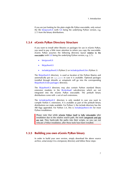<span id="page-10-0"></span>If you are just looking for the plain single-file PyRun executable, only extract the file  $bin/pyrunX.X$  (with X.X being the underlying Python version, e.g. 2.7) from the binary distributions.

#### 1.3.4 eGenix PyRun Directory Structure

<span id="page-10-1"></span>If you want to install other libraries or packages for use in eGenix PyRun, you need to pay a little more attention to where you copy the executable. eGenix PyRun assumes the following directory layout relative to the executable (with  $X.X$  being the underlying Python version, e.g. 2.7):

- bin/pyrunX.X
- lib/pythonX.X
- include/pythonX.X (Python 2) or include/pythonX.Xm (Python 3)

The lib/pythonX.X directory is used as location of the Python libaries and automatically put on sys.path in case it is available. Optional packages installed through distutils or setuptools will go into the corresponding lib/pythonX.X/site-packages/ directory.

The lib/pythonX.X directory may also contain Python standard library extension modules in the lib-dynload/ sub-directory which are not integrated into the eGenix PyRun executable. The prebuilt binary distributions come with a set of such extensions.

The include/pythonX.X directory is only needed in case you want to compile Python C extensions. It is available as part of the prebuilt binary distributions we make available. For Python 3, the include directory has the ABI flags appended. For Python 3.4, this is include/python3.4m for most Python installations.

Please note that while eGenix PyRun itself is fully relocatable after installation due to the relative search path, the tools setuptools and pip are not. They hard-code the paths into their scripts, so you can not relocate a PyRun installation, after these tools have been installed.

#### 1.3.5 Building you own eGenix PyRun binary

In order to build your own version, simply download the above source archive, untar/unzip it to a temporary directory and follow these steps: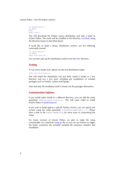```
cd egenix-pyrun-* 
cd PyRun 
make 
make install
```
This will download the Python source distribution and start a build of eGenix PyRun. The result will be installed to the directory /usr/local/ using the directory layout as described above.

If you'd like to build a binary distribution archive, use the following commands instead:

```
cd egenix-pyrun-* 
cd PyRun 
make distribution
```
You can then pick up the distribution archive from the dist/ directory.

#### **Testing**

To run some simple tests, please use the test-distribution target:

make test-distribution

This will install the distribution you just built, install it locally in a test directory and run a few tests, including pip installations of sizeable packages such as NumPy, Cython and Django.

Note that only the installation itself is tested, not the packages themselves.

#### Customization Options

If you would rather install to a different directory, you can add the make parameter PREFIX=/path/to/pyrun/, This will cause make to install eGenix PyRun in /path/to/pyrun/.

If you want to build against a specific Python version, you can specify the version using the *make* parameter PYTHONFULLVERSION=2.7.5. Please have a look at the PyRun/Makefile for more ways of customizing the setup.

For future versions of eGenix PyRun, we plan to make the setup customizable via a top-level setup.py file so you can use Python to trigger the build, customize the included standard lib extension modules and installation.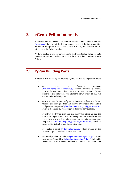## <span id="page-12-0"></span>2. eGenix PyRun Internals

eGenix PyRun uses the standard Python freeze tool, which you can find the Tools/freeze/ directory of the Python source code distribution to combine the Python interpreter with a large subset of the Python standard library into a single-file Python runtime.

We have applied a few customizations to the freeze tool and ship separate versions for Python 2 and Python 3 with the source distribution of eGenix PyRun.

## 2.1 PyRun Building Parts

In order to use freeze.py for creating PyRun, we had to implement these steps:

- we created a freeze.py template (PyRun/Runtime/pyrun\_template.py) which provides a mostly compatible command line interface to the standard Python interpreter and references the standard library modules that we wanted to include in PyRun,
- we extract the Python configuration information from the Python Makefile and configure files and put this information into a static configuration template (PyRun/Runtime/pyrun\_config\_template.py), which is then used by sysconfig.py to load the configuration,
- we extract the Python grammar files the Python stdlib, so that the lib2to3 package can work without having the files loaded from the file system and put this information into a static configuration template (PyRun/Runtime/pyrun grammar template.py), which is then used by lib2to3 to load the configuration,
- we created a script (PyRun/makepyrun.py) which creates all the necessary pyrun\*.py files from the templates,
- we added patches to Python (PyRun/Runtime/Python-\*.patch) and the Modules/Setup files (PyRun/Runtime/Setup.PyRun-\*) to be able to statically link in extension modules that would normally be built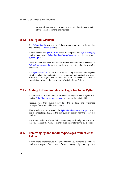as shared modules and to provide a pure-Python implementation of the Python command line interface.

#### <span id="page-13-0"></span>2.1.1 The PyRun Makefile

The PyRun/Makefile extracts the Python source code, applies the patches and adds the Modules/Setup file.

It then creates the  $pyrunX.X.py$  freeze.py template, the  $pyrun$  config.py module and runs PyRun/Runtime/freeze/freeze.py on the generated pyrunX.X.py file.

freeze.py then generates the frozen module versions and a Makefile in PyRun/Runtime/Makefile which can then be used to build the pyrunX.X executable.

The PyRun/Makefile also takes care of installing the executable together with the include files and optional shared modules built during the process: as well as packaging the builds into binary .tar.gz files, which can simply be extracted anywhere in the file system to "install" eGenix PyRun.

#### 2.1.2 Adding Python modules/packages to eGenix PyRun

The easiest way to have modules or whole packages added to PyRun is to modify PyRun/Runtime/pyrun\_extras.py and import them in that file.

freeze.py will then automatically find the modules and referenced packages, freeze and add them to PyRun.

Alternatively, you can also edit the PyRun/Runtime/makepyrun.py file and add the modules/packages in the configuration section near the top of that module.

In a future version of eGenix PyRun, we're going to simplify this process so that you can pass the modules to include as parameter to the build script.

#### 2.1.3 Removing Python modules/packages from eGenix PyRun

If you want to further reduce the PyRun file size, you can remove additional modules/packages from the frozen binary by editing the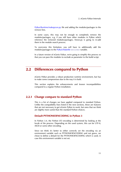2. eGenix PyRun Internals

<span id="page-14-0"></span>PyRun/Runtime/makepyrun.py file and adding the modules/packages to the remove lists.

In some cases, this may not be enough to completely remove the modules/packages, e.g. if you still have other modules in PyRun which reference the removed modules/packages, freeze.py is going to re-add them in the module search process.

To overcome this limitation, you will have to additionally add the modules/packages to the PyRun/Makefile EXCLUDES variable.

In a future version of eGenix PyRun, we're going to simplify this process so that you can pass the modules to exclude as parameter to the build script.

## 2.2 Differences compared to Python

eGenix PyRun provides a robust production runtime environment, but has to make some compromises due to the way it is built.

This section explains the enhancements and known incompatibilities compared to a regular Python installation.

#### 2.2.1 Change compare to standard Python

This is a list of changes we have applied compared to standard Python. Unlike the compatibility fixes listed in the next sections, these are features that are not necessary to get eGenix PyRun to work, but ones that we think are slightly more useful than the standard Python choices.

#### Default PYTHONIOENCODING in Python 3

In Python 3.4, the Python I/O encoding is determined by looking at the locale of the process. Depending on the used system, this can be UTF-8, ASCII or some other encoding.

Since we think it's better to either correctly set the encoding via an environment variable such as PYTHONIOENCODING and not guess, we chose to define a default for the PYTHONIOENCODING which is used, in case this environment variable is not set.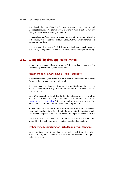<span id="page-15-0"></span>The default for PYTHONIOENCODING in eGenix PyRun 3.4 is "utf-8:surrogateescape". This allows pyrun to work in most situations without failing prints or weird encoding exceptions.

If you do have a different setup or would like exceptions for non-UTF-8 data to be raised, you can set the PYTHONIOENCODING environment variable to override this default.

It is even possible to have eGenix PyRun revert back to the locale scanning behavior by setting the PYTHONIOENCODING variable to "" (empty string).

#### 2.2.2 Compatibility fixes applied to Python

In order to get some things to work in PyRun, we had to apply a few compatibility fixes to the Python distributions:

#### Frozen modules always have a \_\_file \_\_attribute

In standard Python 2, the attribute is always set to "<frozen>". In standard Python 3, the attribute does not exist at all.

This poses many problems to software relying on this attribute for reporting and debugging purposes (e.g. to show the location of an error) or produce coverage reports.

Since it's impossible to fix all this third party software, we chose to alwas add the attribute to frozen modules. The attribute is set to "<pyrun>/package/module.py" for all modules frozen into pyrun. This allows most uses of the attribute to work without problems.

Some modules also use this attribute to locate external resources relative to the module location. Since the attribute does not point to an existing path, this will fail, so special work-arounds have to put in place for such software.

On the positive side, several such modules do take the situation into account that the path does not exist and fall back to other solutions.

#### Python system configuration included in pyrun\_config.py

Since the build time information is normally read from the Python installation files, we had to find a way to make this available without going to the file system.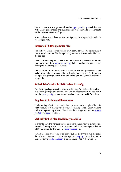<span id="page-16-0"></span>The trick was to use a generated module pyrun config.py which has the Python config information and can also patch it at runtime to accommodate for the relocation feature of pyrun.

Note: Python 3 and later versions of Python 2.7 adopted this trick for sysconfig as well.

#### Integrated lib2to3 grammar files

The lib2to3 package comes with its own pgen2 parser. This parser uses a special set of grammar files for Python's grammar which are embedded into the package.

Since we cannot ship those files in the file system, we chose to stored the grammar pickles in a pyrun grammar.py helper module and patched the package to use these pickles instead.

This allows lib2to3 to work without having to read the grammar files and makes on-the-fly conversions during installation possible. An important example of a package which uses this technique for Python 3 support is setuptools.

#### Added list of available lib2to3 fixes to config

The lib2to3 package scans its own fixes/ directory for available fix modules. In a frozen package this doesn't work, so we preprocessed the list, put it into the pyrun\_config.py module and patched lib2to3 to load it from there.

#### Bug fixes to Python stdlib modules

While porting eGenix PyRun to Python 3.4 we found a couple of bugs in stdlib modules which we patch in pyrun for the supported Python versions and also reported upstream. Please see the change log on the *[eGenix](http://www.egenix.com/products/python/PyRun/) [product web page](http://www.egenix.com/products/python/PyRun/)* for details.

#### Statically linked standard library modules

In order to have the standard library extensions linked into the pyrun binary instead of having them built as separate module, eGenix PyRun defines additional entries for them in the Modules/Setup file.

Several modules are documented there, but not all of them. We extracted the relevant information from the Python setup.py file and added it manually to the Modules/Setup file for each supported Python version.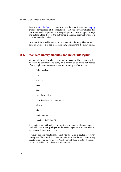<span id="page-17-0"></span>Since the Modules/Setup process is not nearly as flexible as the setup.py process, configuration of the modules is sometimes very complicated. For this reason we have punted on a few packages such as the ctypes package and instead added them to the distributed binaries as separately installable dynamic shared modules.

Note that it is possible to customize these Module/Setup files further in case you would like to add other third party extensions to the pyrun binary.

#### 2.2.3 Standard library modules not linked into PyRun

We have deliberately excluded a number of standard library modules that are either to complicated to build, have license issues or are not needed often enough in our use cases to warrant including in eGenix PyRun:

- \*dbm modules
- crypt
- readline
- parser
- tkinter
- multiprocessing
- all test packages and sub-packages
- ctypes
- nis
- audio modules
- decimal (in Python 3)

The modules are still built (if the needed development files are found on the build system) and packaged in the eGenix PyRun distribution files, so you can use them, if you need to.

However, they are not statically linked into the PyRun executable, so when moving this file around, you have to make sure that the relative directory structure expected by PyRun (see [1.3.4 eGenix PyRun Directory Structure\)](#page-10-1) makes it possible to find those shared modules.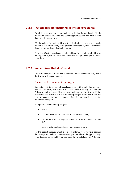2. eGenix PyRun Internals

#### <span id="page-18-0"></span>2.2.4 Include files not included in PyRun executable

For obvious reasons, we cannot include the Python include header files in the PyRun executable, since the compiler/preprocessor will have to find them in order to use them.

We do include the include files in the distribution packages and installpyrun will also install them, so it's possible to compile Python C extensions if you use one of those distribution forms.

Compiling C extensions is not possible without the include header files, so the single-file PyRun runtime executable is not enough to compile Python C extensions.

#### 2.2.5 Some things that don't work

There are a couple of tricks which Python modules sometimes play, which don't work with frozen modules.

#### File access to resources in packages

Some standard library modules/packages come with non-Python resource files such as binary .exe stubs or data files. Since freeze.py will only find Python modules, these files are not included in the frozen PyRun executable and since the frozen modules/packages don't live in the file system, access to such resource files is not possible via the module/package path.

Examples of such modules/packages:

- idellib
- distutils' bdist wininst (the rest of distutils works fine)
- pkgutil on frozen packages (it works on frozen modules in Python 2.7)
- several test modules/packages (not included anyway)

For the lib2to3 package, which also needs external files, we have patched the package and included the necessary grammar files in the pyrun binary, since it is used by several Python packages during installation on Python 3.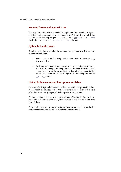#### <span id="page-19-0"></span>Running frozen packages with -m

The pkgutil module which is needed to implement the -m option in Python only has limited support for frozen modules in Python 2.7 and 3.4. It has no support for frozen packages. As a result, running pyrun2.7 -m timeit works, but e.g. pyrun2.7 -m lib2to3 --help doesn't.

#### Python test suite issues

Running the Python test suite shows some strange issues which we have not yet tracked down:

- Some test modules hang when run with regrtest.py, e.g. test\_docxmlrpc
- Test modules cause strange errors (mostly encoding errors) when run with regrtest.py. Running the test modules directly doesn't show these errors. Some preliminary investigation suggests that these issues could be caused by regrtest.py modifying the module \_\_path \_\_ entries.

#### Not all Python command line options available

Because eGenix PyRun has to emulate the command line options in Python, it is difficult to emulate some Python command line option which take effect in the very early stages of the interpreter startup phase.

For some options like e.g. -d (debug level) and -O (optimization level), we have added helpers/patches to Python to make it possible adjusting them from Python.

Fortunately, most of the more exotic options are not used in production runtime environments for which eGenix PyRun is designed.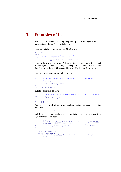## <span id="page-20-0"></span>3. Examples of Use

Here's a short session installing setuptools, pip and our egenix-mx-base package in an eGenix PyRun installation.

First, we install a PyRun version for 32-bit Linux:

```
mkdir tmp 
cd tmp 
wget http://downloads.egenix.com/python/egenix-pyrun-2.0.0-
py2.7_ucs2.linux-i686.tgz
tar xvfz egenix-pyrun-2.0.0-py2.7_ucs2.linux-i686.tgz
```
Now we have a ready to use Python runtime in tmp/, using the default eGenix PyRun directory layout, including some optional extra shared libraries and the include files needed for compiling Python C extensions.

Now, we install setuptools into this runtime:

```
wget 
http://pypi.python.org/packages/source/s/setuptools/setuptools-
2.1.tar.gz
cd setuptools-2.1 
../bin/pyrun2.7 setup.py install 
cd .. 
rm -rf setuptools-2.1
```
Installing pip is just as easy:

```
wget http://pypi.python.org/packages/source/p/pip/pip-1.4.1.tar.gz
cd pip-1.4.1 
../bin/pyrun2.7 setup.py install 
cd .. 
rm -rf pip-1.4.1
```
You can then install other Python packages using the usual installation methods:

bin/pip install egenix-mx-base

and the packages are available to eGenix PyRun just as they would in a regular Python installation:

```
$ bin/pyrun2.7 
eGenix PyRun 2.7.6 (release 2.0.0, default, Jun 13 2014, 20:12:35) 
[GCC 4.5.0 20100604 [gcc-4 5-branch revision 160292]]
Thank you for using eGenix PyRun. Type "help" or "license" for 
details. 
>>> import mx.DateTime 
>>> mx.DateTime.now() 
<mx.DateTime.DateTime object for '2013-06-13 20:26:30.62' at 
7f1845a6a300> 
>>>
```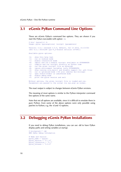## <span id="page-21-0"></span>3.1 eGenix PyRun Command Line Options

These are eGenix PyRun's command line options. They are shown if you start the PyRun executable with option -h:

```
$ bin/ /pyrun3.4 -h 
Usage: pyrun [pyrunoptions] <script> [parameters] 
Version: 3.4.1 (release 2.0.0, default, Jun 13 2014, 21:13:02) 
[GCC 4.5.1 20101208 [gcc-4_5-branch revision 167585]] 
Available pyrun options: 
-h: show this help text 
-v: run in verbose mode 
-i: enable interactive mode 
-m: import and run a module <script> available on PYTHONPATH 
-c: compile and run <script> directly as Python code 
     run the given <script> file as bytecode
-E: ignore environment variables (only PYTHONPATH) 
-S: skip running site.main() and disable support for .pth files 
-O: run in optimized mode (-OO also removes doc-strings) 
-u: open stdout/stderr in unbuffered mode 
-d: enable debug mode 
-V: print the pyrun version and exit 
Without options, the given <script> file is loaded and run.
```
The exact output is subject to changes between eGenix PyRun versions.

Parameters are passed to the script via sys.argv as normal.

The meaning of most options is similar to the Python interpreter command line options of the same name.

Note that not all options are available, since it is difficult to emulate them in pure Python. Even some of the above options were only possible using patches to Python, e.g. the -d and -O options.

## 3.2 Debugging eGenix PyRun Installations

If you need to debug PyRun installations, you can use -dd to have PyRun display paths and setting variables at startup:

```
$ bin/pyrun2.7 -dd 
### PyRun Debug Information 
# Name and version 
pyrun_name = 'pyrun' 
pyrun version = '2.7.6'pyrun_libversion = '2.7' 
pyrunrelcase = '2.0.0'
```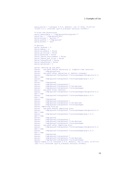```
pyrun build = '(release 2.0.0, default, Jun 13 2014, 21:47:11)
\n[GCC 4.5.1 20101208 [gcc-4 5-branch revision 167585]]'
# Files and directories 
pyrun_executable = '/tmp/pyrun2/bin/pyrun2.7' 
pyrun_dir = '/tmp/pyrun2/bin' 
pyrun_binary = 'pyrun2.7' 
pyrun_prefix = '/tmp/pyrun2' 
pyrun_bindir = 'bin' 
# Options 
pyrun_verbose = 0 
pyrun_debug = 2 
pyrun<sup>-</sup>as module = False
pyrun_as_string = False 
pyrun_bytecode = False 
pyrun_ignore_environment = False 
pyrun ignore pth files = False
pyrun_interactive = False
pyrun_unbuffered = False 
pyrun_optimized = 0 
pyrun: Setting up sys.path 
pyrun: sys.path before adjusting it (compile time version): 
pyrun: /tmp/pyrun2/bin 
pyrun: sys.path after adjusting it (before cleanup):<br>pyrun: /tmp/pyrun2/lib/python2.7/site-packages/set
             pyrun: /tmp/pyrun2/lib/python2.7/site-packages/setuptools-2.1-
py2.7.egg 
pyrun: /tmp/pyrun2/lib/python2.7/site-packages/pip-1.4.1-
py2.7.egg 
pyrun: /tmp/pyrun2<br>pyrun: /tmp/pyrun2
pyrun: /tmp/pyrun2/lib/python2.7<br>pyrun: /tmp/pyrun2/lib/python2.7
             pyrun: /tmp/pyrun2/lib/python2.7/lib-dynload 
pyrun: /tmp/pyrun2/lib/python2.7/site-packages 
pyrun: sys.path final version:<br>pyrun: /tmp/pyrun2/lib/pytho
             pyrun: /tmp/pyrun2/lib/python2.7/site-packages/setuptools-2.1-
py2.7.egg 
pyrun: /tmp/pyrun2/lib/python2.7/site-packages/pip-1.4.1-
py2.7.egg 
pyrun: /tmp/pyrun2<br>pyrun: /tmp/pyrun2
             /tmp/pyrun2/lib/python2.7
pyrun: /tmp/pyrun2/lib/python2.7/lib-dynload 
pyrun: /tmp/pyrun2/lib/python2.7/site-packages 
pyrun: Importing site.py 
pyrun: sys.path before importing site:<br>pyrun: /tmp/pyrun2/lib/python2.7/sit
             pyrun: /tmp/pyrun2/lib/python2.7/site-packages/setuptools-2.1-
py2.7.egg 
             pyrun: /tmp/pyrun2/lib/python2.7/site-packages/pip-1.4.1-
py2.7.egg 
pyrun: /tmp/pyrun2<br>pyrun: /tmp/pyrun2
pyrun: /tmp/pyrun2/lib/python2.7<br>pyrun: /tmp/pyrun2/lib/python2.7
             /tmp/pyrun2/lib/python2.7/lib-dynload
pyrun: /tmp/pyrun2/lib/python2.7/site-packages 
pyrun: sys.path after importing site: 
pyrun: /tmp/pyrun2/lib/python2.7/site-packages/setuptools-2.1-
py2.7.egg 
             pyrun: /tmp/pyrun2/lib/python2.7/site-packages/pip-1.4.1-
py2.7.egg 
             /tmp/pyrun2
pyrun: /tmp/pyrun2/lib/python2.7<br>pyrun: /tmp/pyrun2/lib/python2.7
pyrun: /tmp/pyrun2/lib/python2.7/lib-dynload<br>pyrun: /tmp/pyrun2/lib/python2.7/site-package
             pyrun: /tmp/pyrun2/lib/python2.7/site-packages 
eGenix PyRun 2.7.6 (release 2.0.0, default, Jun 13 2014, 21:47:11) 
[GCC 4.5.1 20101208 [gcc-4_5-branch revision 167585]]
```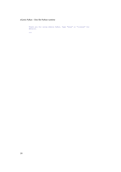```
Thank you for using eGenix PyRun. Type "help" or "license" for 
details. 
>>>
```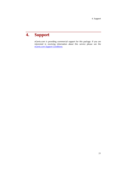## <span id="page-24-0"></span>4. Support

eGenix.com is providing commercial support for this package. If you are interested in receiving information about this service please see the *[eGenix.com Support Conditions](http://www.egenix.com/files/python/eGenix-mx-Extensions.html)*.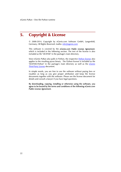## <span id="page-25-0"></span>5. Copyright & License

© 2008-2014, Copyright by eGenix.com Software GmbH, Langenfeld, Germany; All Rights Reserved. mailto: *[info@egenix.com](mailto:info@egenix.com)*

This software is covered by the *eGenix.com Public License Agreement*, which is included in the following section. The text of the license is also included as file "LICENSE" in the package's main directory.

Since eGenix PyRun also pulls in Python, the respective *[Python license](http://docs.python.org/license.html)* also applies to the resulting pyrun binary. The Python license is included as file "LICENSE.Python" in the package's main directory as well as the *eGenix Third-Party License* document.

In simple words, you are free to use the software without paying fees or royalties as long as you give proper attribution and keep the license documents together with the software. Please see the license document for details and consult a lawyer if you have legal questions.

By downloading, copying, installing or otherwise using the software, you agree to be bound by the terms and conditions of the following *eGenix.com Public License Agreement*.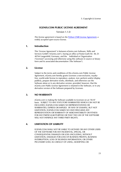5. Copyright & License

#### EGENIX.COM PUBLIC LICENSE AGREEMENT

Version 1.1.0

*This license agreement is based on the* [Python CNRI License Agreement](http://www.opensource.org/licenses/pythonpl.php)*, a widely accepted open-source license.* 

#### 1. Introduction

This "License Agreement" is between eGenix.com Software, Skills and Services GmbH ("eGenix.com"), having an office at Pastor-Loeh-Str. 48, D-40764 Langenfeld, Germany, and the Individual or Organization ("Licensee") accessing and otherwise using this software in source or binary form and its associated documentation ("the Software").

#### 2. License

Subject to the terms and conditions of this eGenix.com Public License Agreement, eGenix.com hereby grants Licensee a non-exclusive, royaltyfree, world-wide license to reproduce, analyze, test, perform and/or display publicly, prepare derivative works, distribute, and otherwise use the Software alone or in any derivative version, provided, however, that the eGenix.com Public License Agreement is retained in the Software, or in any derivative version of the Software prepared by Licensee.

#### 3. NO WARRANTY

eGenix.com is making the Software available to Licensee on an "AS IS" basis. SUBJECT TO ANY STATUTORY WARRANTIES WHICH CAN NOT BE EXCLUDED, EGENIX.COM MAKES NO REPRESENTATIONS OR WARRANTIES, EXPRESS OR IMPLIED. BY WAY OF EXAMPLE, BUT NOT LIMITATION, EGENIX.COM MAKES NO AND DISCLAIMS ANY REPRESENTATION OR WARRANTY OF MERCHANTABILITY OR FITNESS FOR ANY PARTICULAR PURPOSE OR THAT THE USE OF THE SOFTWARE WILL NOT INFRINGE ANY THIRD PARTY RIGHTS.

#### 4. LIMITATION OF LIABILITY

EGENIX.COM SHALL NOT BE LIABLE TO LICENSEE OR ANY OTHER USERS OF THE SOFTWARE FOR ANY INCIDENTAL, SPECIAL, OR CONSEQUENTIAL DAMAGES OR LOSS (INCLUDING, WITHOUT LIMITATION, DAMAGES FOR LOSS OF BUSINESS PROFITS, BUSINESS INTERRUPTION, LOSS OF BUSINESS INFORMATION, OR OTHER PECUNIARY LOSS) AS A RESULT OF USING, MODIFYING OR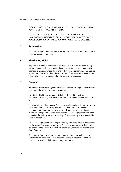DISTRIBUTING THE SOFTWARE, OR ANY DERIVATIVE THEREOF, EVEN IF ADVISED OF THE POSSIBILITY THEREOF.

SOME JURISDICTIONS DO NOT ALLOW THE EXCLUSION OR LIMITATION OF INCIDENTAL OR CONSEQUENTIAL DAMAGES, SO THE ABOVE EXCLUSION OR LIMITATION MAY NOT APPLY TO LICENSEE.

#### 5. Termination

This License Agreement will automatically terminate upon a material breach of its terms and conditions.

#### 6. Third Party Rights

Any software or documentation in source or binary form provided along with the Software that is associated with a separate license agreement is licensed to Licensee under the terms of that license agreement. This License Agreement does not apply to those portions of the Software. Copies of the third party licenses are included in the Software Distribution.

#### 7. General

Nothing in this License Agreement affects any statutory rights of consumers that cannot be waived or limited by contract.

Nothing in this License Agreement shall be deemed to create any relationship of agency, partnership, or joint venture between eGenix.com and Licensee.

If any provision of this License Agreement shall be unlawful, void, or for any reason unenforceable, such provision shall be modified to the extent necessary to render it enforceable without losing its intent, or, if no such modification is possible, be severed from this License Agreement and shall not affect the validity and enforceability of the remaining provisions of this License Agreement.

This License Agreement shall be governed by and interpreted in all respects by the law of Germany, excluding conflict of law provisions. It shall not be governed by the United Nations Convention on Contracts for International Sale of Goods.

This License Agreement does not grant permission to use eGenix.com trademarks or trade names in a trademark sense to endorse or promote products or services of Licensee, or any third party.